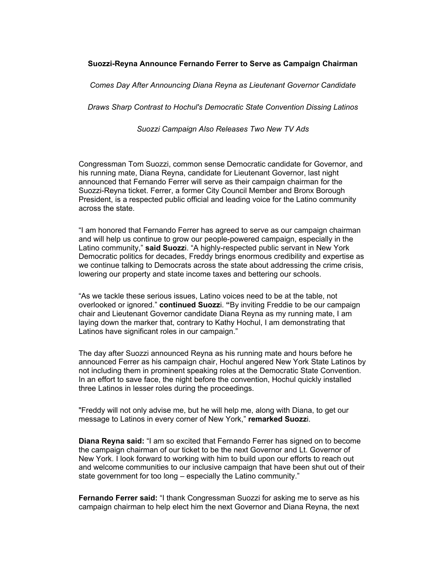## **Suozzi-Reyna Announce Fernando Ferrer to Serve as Campaign Chairman**

*Comes Day After Announcing Diana Reyna as Lieutenant Governor Candidate*

*Draws Sharp Contrast to Hochul's Democratic State Convention Dissing Latinos*

*Suozzi Campaign Also Releases Two New TV Ads*

Congressman Tom Suozzi, common sense Democratic candidate for Governor, and his running mate, Diana Reyna, candidate for Lieutenant Governor, last night announced that Fernando Ferrer will serve as their campaign chairman for the Suozzi-Reyna ticket. Ferrer, a former City Council Member and Bronx Borough President, is a respected public official and leading voice for the Latino community across the state.

"I am honored that Fernando Ferrer has agreed to serve as our campaign chairman and will help us continue to grow our people-powered campaign, especially in the Latino community," **said Suozz**i. "A highly-respected public servant in New York Democratic politics for decades, Freddy brings enormous credibility and expertise as we continue talking to Democrats across the state about addressing the crime crisis, lowering our property and state income taxes and bettering our schools.

"As we tackle these serious issues, Latino voices need to be at the table, not overlooked or ignored." **continued Suozz**i. **"**By inviting Freddie to be our campaign chair and Lieutenant Governor candidate Diana Reyna as my running mate, I am laying down the marker that, contrary to Kathy Hochul, I am demonstrating that Latinos have significant roles in our campaign."

The day after Suozzi announced Reyna as his running mate and hours before he announced Ferrer as his campaign chair, Hochul angered New York State Latinos by not including them in prominent speaking roles at the Democratic State Convention. In an effort to save face, the night before the convention, Hochul quickly installed three Latinos in lesser roles during the proceedings.

"Freddy will not only advise me, but he will help me, along with Diana, to get our message to Latinos in every corner of New York," **remarked Suozz**i.

**Diana Reyna said:** "I am so excited that Fernando Ferrer has signed on to become the campaign chairman of our ticket to be the next Governor and Lt. Governor of New York. I look forward to working with him to build upon our efforts to reach out and welcome communities to our inclusive campaign that have been shut out of their state government for too long – especially the Latino community."

**Fernando Ferrer said:** "I thank Congressman Suozzi for asking me to serve as his campaign chairman to help elect him the next Governor and Diana Reyna, the next